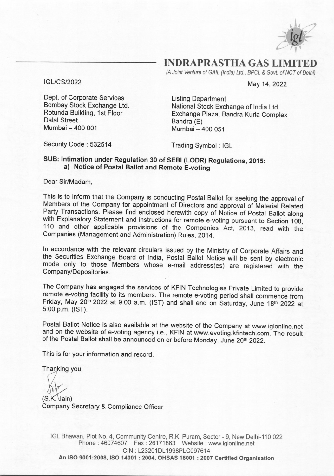

**INDRAPRASTHA GAS LIMI** 

*(A Joint Venture of GAIL (India) Ltd., BPCL* & *Govt. of NCT of Delhi)* 

May 14, 2022

IGL/CS/2022

Dept. of Corporate Services Bombay Stock Exchange Ltd. Rotunda Building, 1st Floor Dalal Street Mumbai- 400 001

Listing Department National Stock Exchange of India Ltd. Exchange Plaza, Sandra Kurla Complex Bandra (E) Mumbai- 400 051

Security Code : 532514

Trading Symbol : IGL

### **SUB: Intimation under Regulation 30 of SEBI (LODR) Regulations, 2015: a) Notice of Postal Ballot and Remote E-voting**

Dear Sir/Madam,

This is to inform that the Company is conducting Postal Ballot for seeking the approval of Members of the Company for appointment of Directors and approval of Material Related Party Transactions. Please find enclosed herewith copy of Notice of Postal Ballot along with Explanatory Statement and instructions for remote e-voting pursuant to Section 108, 110 and other applicable provisions of the Companies Act, 2013, read with the Companies (Management and Administration) Rules, 2014.

In accordance with the relevant circulars issued by the Ministry of Corporate Affairs and the Securities Exchange Board of India, Postal Ballot Notice will be sent by electronic mode only to those Members whose e-mail address(es) are registered with the Company/Depositories.

The Company has engaged the services of KFIN Technologies Private Limited to provide remote e-voting facility to its members. The remote e-voting period shall commence from Friday, May 20<sup>th</sup> 2022 at 9:00 a.m. (IST) and shall end on Saturday, June 18<sup>th</sup> 2022 at 5:00 p.m. {1ST).

Postal Ballot Notice is also available at the website of the Company at www.iglonline.net and on the website of e-voting agency i.e., KFIN at www.evoting.kfintech.com. The result of the Postal Ballot shall be announced on or before Monday, June 20<sup>th</sup> 2022.

This is for your information and record.

Thanking you,

(S.K. Jain)<br>Company Secretary & Compliance Officer

IGL Bhawan, Plot No. 4, Community Centre, R.K. Puram, Sector- 9, New Delhi-110 022 Phone: 46074607 Fax: 26171863 Website: www.iglonline.net **CIN:** L23201DL1998PLC097614 **An ISO 9001:2008, ISO 14001 : 2004, OHSAS 18001 : 2007 Certified Organisation**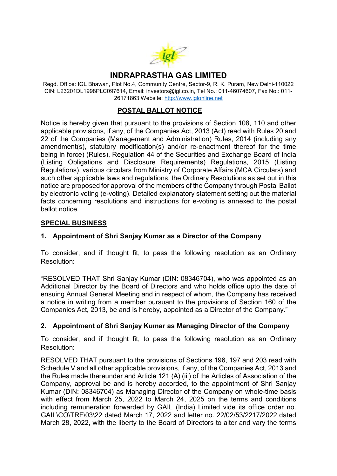

# INDRAPRASTHA GAS LIMITED

Regd. Office: IGL Bhawan, Plot No.4, Community Centre, Sector-9, R. K. Puram, New Delhi-110022 CIN: L23201DL1998PLC097614, Email: investors@igl.co.in, Tel No.: 011-46074607, Fax No.: 011- 26171863 Website: http://www.iglonline.net

## POSTAL BALLOT NOTICE

Notice is hereby given that pursuant to the provisions of Section 108, 110 and other applicable provisions, if any, of the Companies Act, 2013 (Act) read with Rules 20 and 22 of the Companies (Management and Administration) Rules, 2014 (including any amendment(s), statutory modification(s) and/or re-enactment thereof for the time being in force) (Rules), Regulation 44 of the Securities and Exchange Board of India (Listing Obligations and Disclosure Requirements) Regulations, 2015 (Listing Regulations), various circulars from Ministry of Corporate Affairs (MCA Circulars) and such other applicable laws and regulations, the Ordinary Resolutions as set out in this notice are proposed for approval of the members of the Company through Postal Ballot by electronic voting (e-voting). Detailed explanatory statement setting out the material facts concerning resolutions and instructions for e-voting is annexed to the postal ballot notice.

### SPECIAL BUSINESS

### 1. Appointment of Shri Sanjay Kumar as a Director of the Company

To consider, and if thought fit, to pass the following resolution as an Ordinary Resolution:

"RESOLVED THAT Shri Sanjay Kumar (DIN: 08346704), who was appointed as an Additional Director by the Board of Directors and who holds office upto the date of ensuing Annual General Meeting and in respect of whom, the Company has received a notice in writing from a member pursuant to the provisions of Section 160 of the Companies Act, 2013, be and is hereby, appointed as a Director of the Company."

### 2. Appointment of Shri Sanjay Kumar as Managing Director of the Company

To consider, and if thought fit, to pass the following resolution as an Ordinary Resolution:

RESOLVED THAT pursuant to the provisions of Sections 196, 197 and 203 read with Schedule V and all other applicable provisions, if any, of the Companies Act, 2013 and the Rules made thereunder and Article 121 (A) (iii) of the Articles of Association of the Company, approval be and is hereby accorded, to the appointment of Shri Sanjay Kumar (DIN: 08346704) as Managing Director of the Company on whole-time basis with effect from March 25, 2022 to March 24, 2025 on the terms and conditions including remuneration forwarded by GAIL (India) Limited vide its office order no. GAIL\CO\TRF\03\22 dated March 17, 2022 and letter no. 22/02/53/2217/2022 dated March 28, 2022, with the liberty to the Board of Directors to alter and vary the terms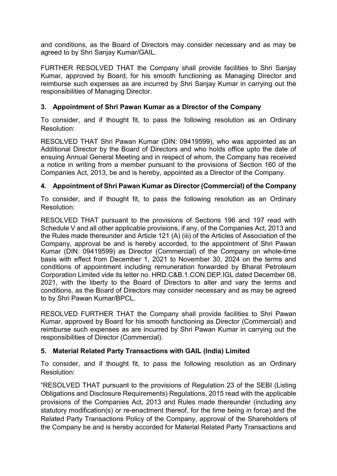and conditions, as the Board of Directors may consider necessary and as may be agreed to by Shri Sanjay Kumar/GAIL.

FURTHER RESOLVED THAT the Company shall provide facilities to Shri Sanjay Kumar, approved by Board, for his smooth functioning as Managing Director and reimburse such expenses as are incurred by Shri Sanjay Kumar in carrying out the responsibilities of Managing Director.

## 3. Appointment of Shri Pawan Kumar as a Director of the Company

To consider, and if thought fit, to pass the following resolution as an Ordinary Resolution:

RESOLVED THAT Shri Pawan Kumar (DIN: 09419599), who was appointed as an Additional Director by the Board of Directors and who holds office upto the date of ensuing Annual General Meeting and in respect of whom, the Company has received a notice in writing from a member pursuant to the provisions of Section 160 of the Companies Act, 2013, be and is hereby, appointed as a Director of the Company.

# 4. Appointment of Shri Pawan Kumar as Director (Commercial) of the Company

To consider, and if thought fit, to pass the following resolution as an Ordinary Resolution:

RESOLVED THAT pursuant to the provisions of Sections 196 and 197 read with Schedule V and all other applicable provisions, if any, of the Companies Act, 2013 and the Rules made thereunder and Article 121 (A) (iii) of the Articles of Association of the Company, approval be and is hereby accorded, to the appointment of Shri Pawan Kumar (DIN: 09419599) as Director (Commercial) of the Company on whole-time basis with effect from December 1, 2021 to November 30, 2024 on the terms and conditions of appointment including remuneration forwarded by Bharat Petroleum Corporation Limited vide its letter no. HRD.C&B.1.CON.DEP.IGL dated December 08, 2021, with the liberty to the Board of Directors to alter and vary the terms and conditions, as the Board of Directors may consider necessary and as may be agreed to by Shri Pawan Kumar/BPCL.

RESOLVED FURTHER THAT the Company shall provide facilities to Shri Pawan Kumar, approved by Board for his smooth functioning as Director (Commercial) and reimburse such expenses as are incurred by Shri Pawan Kumar in carrying out the responsibilities of Director (Commercial).

### 5. Material Related Party Transactions with GAIL (India) Limited

To consider, and if thought fit, to pass the following resolution as an Ordinary Resolution:

"RESOLVED THAT pursuant to the provisions of Regulation 23 of the SEBI (Listing Obligations and Disclosure Requirements) Regulations, 2015 read with the applicable provisions of the Companies Act, 2013 and Rules made thereunder (including any statutory modification(s) or re-enactment thereof, for the time being in force) and the Related Party Transactions Policy of the Company, approval of the Shareholders of the Company be and is hereby accorded for Material Related Party Transactions and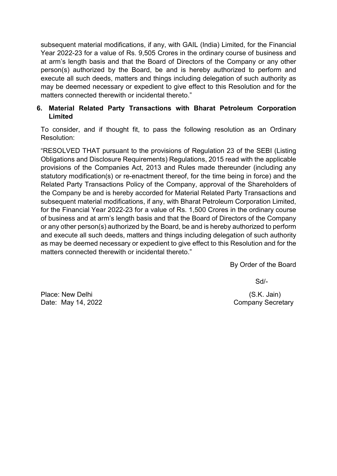subsequent material modifications, if any, with GAIL (India) Limited, for the Financial Year 2022-23 for a value of Rs. 9,505 Crores in the ordinary course of business and at arm's length basis and that the Board of Directors of the Company or any other person(s) authorized by the Board, be and is hereby authorized to perform and execute all such deeds, matters and things including delegation of such authority as may be deemed necessary or expedient to give effect to this Resolution and for the matters connected therewith or incidental thereto."

### 6. Material Related Party Transactions with Bharat Petroleum Corporation Limited

To consider, and if thought fit, to pass the following resolution as an Ordinary Resolution:

"RESOLVED THAT pursuant to the provisions of Regulation 23 of the SEBI (Listing Obligations and Disclosure Requirements) Regulations, 2015 read with the applicable provisions of the Companies Act, 2013 and Rules made thereunder (including any statutory modification(s) or re-enactment thereof, for the time being in force) and the Related Party Transactions Policy of the Company, approval of the Shareholders of the Company be and is hereby accorded for Material Related Party Transactions and subsequent material modifications, if any, with Bharat Petroleum Corporation Limited, for the Financial Year 2022-23 for a value of Rs. 1,500 Crores in the ordinary course of business and at arm's length basis and that the Board of Directors of the Company or any other person(s) authorized by the Board, be and is hereby authorized to perform and execute all such deeds, matters and things including delegation of such authority as may be deemed necessary or expedient to give effect to this Resolution and for the matters connected therewith or incidental thereto."

By Order of the Board

Sd/-

Place: New Delhi (S.K. Jain) Date: May 14, 2022 **Company Secretary**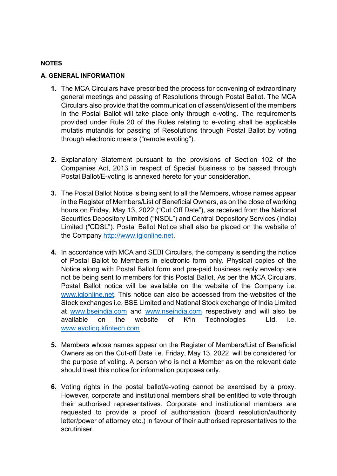#### **NOTES**

#### A. GENERAL INFORMATION

- 1. The MCA Circulars have prescribed the process for convening of extraordinary general meetings and passing of Resolutions through Postal Ballot. The MCA Circulars also provide that the communication of assent/dissent of the members in the Postal Ballot will take place only through e-voting. The requirements provided under Rule 20 of the Rules relating to e-voting shall be applicable mutatis mutandis for passing of Resolutions through Postal Ballot by voting through electronic means ("remote evoting").
- 2. Explanatory Statement pursuant to the provisions of Section 102 of the Companies Act, 2013 in respect of Special Business to be passed through Postal Ballot/E-voting is annexed hereto for your consideration.
- 3. The Postal Ballot Notice is being sent to all the Members, whose names appear in the Register of Members/List of Beneficial Owners, as on the close of working hours on Friday, May 13, 2022 ("Cut Off Date"), as received from the National Securities Depository Limited ("NSDL") and Central Depository Services (India) Limited ("CDSL"). Postal Ballot Notice shall also be placed on the website of the Company http://www.iglonline.net.
- 4. In accordance with MCA and SEBI Circulars, the company is sending the notice of Postal Ballot to Members in electronic form only. Physical copies of the Notice along with Postal Ballot form and pre-paid business reply envelop are not be being sent to members for this Postal Ballot. As per the MCA Circulars, Postal Ballot notice will be available on the website of the Company i.e. www.iglonline.net. This notice can also be accessed from the websites of the Stock exchanges i.e. BSE Limited and National Stock exchange of India Limited at www.bseindia.com and www.nseindia.com respectively and will also be available on the website of Kfin Technologies Ltd. i.e. www.evoting.kfintech.com
- 5. Members whose names appear on the Register of Members/List of Beneficial Owners as on the Cut-off Date i.e. Friday, May 13, 2022 will be considered for the purpose of voting. A person who is not a Member as on the relevant date should treat this notice for information purposes only.
- 6. Voting rights in the postal ballot/e-voting cannot be exercised by a proxy. However, corporate and institutional members shall be entitled to vote through their authorised representatives. Corporate and institutional members are requested to provide a proof of authorisation (board resolution/authority letter/power of attorney etc.) in favour of their authorised representatives to the scrutiniser.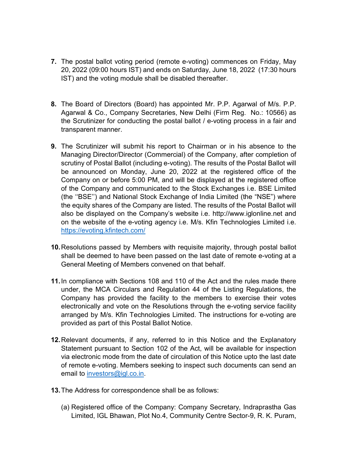- 7. The postal ballot voting period (remote e-voting) commences on Friday, May 20, 2022 (09:00 hours IST) and ends on Saturday, June 18, 2022 (17:30 hours IST) and the voting module shall be disabled thereafter.
- 8. The Board of Directors (Board) has appointed Mr. P.P. Agarwal of M/s. P.P. Agarwal & Co., Company Secretaries, New Delhi (Firm Reg. No.: 10566) as the Scrutinizer for conducting the postal ballot / e-voting process in a fair and transparent manner.
- 9. The Scrutinizer will submit his report to Chairman or in his absence to the Managing Director/Director (Commercial) of the Company, after completion of scrutiny of Postal Ballot (including e-voting). The results of the Postal Ballot will be announced on Monday, June 20, 2022 at the registered office of the Company on or before 5:00 PM, and will be displayed at the registered office of the Company and communicated to the Stock Exchanges i.e. BSE Limited (the ''BSE'') and National Stock Exchange of India Limited (the "NSE") where the equity shares of the Company are listed. The results of the Postal Ballot will also be displayed on the Company's website i.e. http://www.iglonline.net and on the website of the e-voting agency i.e. M/s. Kfin Technologies Limited i.e. https://evoting.kfintech.com/
- 10. Resolutions passed by Members with requisite majority, through postal ballot shall be deemed to have been passed on the last date of remote e-voting at a General Meeting of Members convened on that behalf.
- 11. In compliance with Sections 108 and 110 of the Act and the rules made there under, the MCA Circulars and Regulation 44 of the Listing Regulations, the Company has provided the facility to the members to exercise their votes electronically and vote on the Resolutions through the e-voting service facility arranged by M/s. Kfin Technologies Limited. The instructions for e-voting are provided as part of this Postal Ballot Notice.
- 12. Relevant documents, if any, referred to in this Notice and the Explanatory Statement pursuant to Section 102 of the Act, will be available for inspection via electronic mode from the date of circulation of this Notice upto the last date of remote e-voting. Members seeking to inspect such documents can send an email to investors@igl.co.in.
- 13. The Address for correspondence shall be as follows:
	- (a) Registered office of the Company: Company Secretary, Indraprastha Gas Limited, IGL Bhawan, Plot No.4, Community Centre Sector-9, R. K. Puram,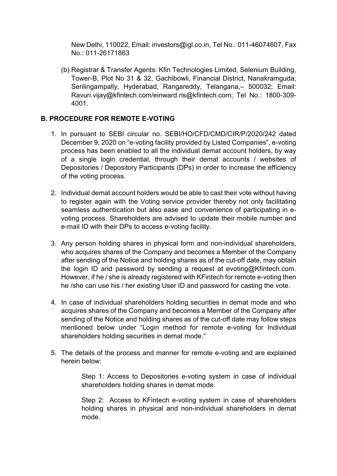New Delhi, 110022, Email: investors@igl.co.in, Tel No.: 011-46074607, Fax No.: 011-26171863

(b) Registrar & Transfer Agents: Kfin Technologies Limited, Selenium Building, Tower-B, Plot No 31 & 32, Gachibowli, Financial District, Nanakramguda, Serilingampally, Hyderabad, Rangareddy, Telangana,– 500032; Email: Ravuri.vijay@kfintech.com/einward.ris@kfintech.com; Tel No.: 1800-309- 4001.

## B. PROCEDURE FOR REMOTE E-VOTING

- 1. In pursuant to SEBI circular no. SEBI/HO/CFD/CMD/CIR/P/2020/242 dated December 9, 2020 on "e-voting facility provided by Listed Companies", e-voting process has been enabled to all the individual demat account holders, by way of a single login credential, through their demat accounts / websites of Depositories / Depository Participants (DPs) in order to increase the efficiency of the voting process.
- 2. Individual demat account holders would be able to cast their vote without having to register again with the Voting service provider thereby not only facilitating seamless authentication but also ease and convenience of participating in evoting process. Shareholders are advised to update their mobile number and e-mail ID with their DPs to access e-voting facility.
- 3. Any person holding shares in physical form and non-individual shareholders, who acquires shares of the Company and becomes a Member of the Company after sending of the Notice and holding shares as of the cut-off date, may obtain the login ID and password by sending a request at evoting  $@$ Kfintech.com. However, if he / she is already registered with KFintech for remote e-voting then he /she can use his / her existing User ID and password for casting the vote.
- 4. In case of individual shareholders holding securities in demat mode and who acquires shares of the Company and becomes a Member of the Company after sending of the Notice and holding shares as of the cut-off date may follow steps mentioned below under "Login method for remote e-voting for Individual shareholders holding securities in demat mode."
- 5. The details of the process and manner for remote e-voting and are explained herein below:

Step 1: Access to Depositories e-voting system in case of individual shareholders holding shares in demat mode.

Step 2: Access to KFintech e-voting system in case of shareholders holding shares in physical and non-individual shareholders in demat mode.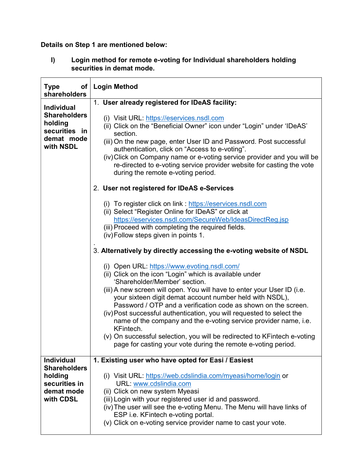# Details on Step 1 are mentioned below:

I) Login method for remote e-voting for Individual shareholders holding securities in demat mode.

| of<br><b>Type</b><br>shareholders                                                               | <b>Login Method</b>                                                                                                                                                                                                                                                                                                                                                                                                                                                                                                                                                                                                                                     |  |  |
|-------------------------------------------------------------------------------------------------|---------------------------------------------------------------------------------------------------------------------------------------------------------------------------------------------------------------------------------------------------------------------------------------------------------------------------------------------------------------------------------------------------------------------------------------------------------------------------------------------------------------------------------------------------------------------------------------------------------------------------------------------------------|--|--|
| <b>Individual</b><br><b>Shareholders</b><br>holding<br>securities in<br>demat mode<br>with NSDL | 1. User already registered for IDeAS facility:<br>(i) Visit URL: https://eservices.nsdl.com<br>(ii) Click on the "Beneficial Owner" icon under "Login" under 'IDeAS'<br>section.<br>(iii) On the new page, enter User ID and Password. Post successful<br>authentication, click on "Access to e-voting".<br>(iv) Click on Company name or e-voting service provider and you will be<br>re-directed to e-voting service provider website for casting the vote<br>during the remote e-voting period.                                                                                                                                                      |  |  |
|                                                                                                 | 2. User not registered for IDeAS e-Services                                                                                                                                                                                                                                                                                                                                                                                                                                                                                                                                                                                                             |  |  |
|                                                                                                 | (i) To register click on link : https://eservices.nsdl.com<br>(ii) Select "Register Online for IDeAS" or click at<br>https://eservices.nsdl.com/SecureWeb/IdeasDirectReg.jsp<br>(iii) Proceed with completing the required fields.<br>(iv) Follow steps given in points 1.                                                                                                                                                                                                                                                                                                                                                                              |  |  |
|                                                                                                 | 3. Alternatively by directly accessing the e-voting website of NSDL                                                                                                                                                                                                                                                                                                                                                                                                                                                                                                                                                                                     |  |  |
|                                                                                                 | (i) Open URL: https://www.evoting.nsdl.com/<br>(ii) Click on the icon "Login" which is available under<br>'Shareholder/Member' section.<br>(iii) A new screen will open. You will have to enter your User ID (i.e.<br>your sixteen digit demat account number held with NSDL),<br>Password / OTP and a verification code as shown on the screen.<br>(iv) Post successful authentication, you will requested to select the<br>name of the company and the e-voting service provider name, i.e.<br>KFintech.<br>(v) On successful selection, you will be redirected to KFintech e-voting<br>page for casting your vote during the remote e-voting period. |  |  |
| <b>Individual</b><br><b>Shareholders</b>                                                        | 1. Existing user who have opted for Easi / Easiest                                                                                                                                                                                                                                                                                                                                                                                                                                                                                                                                                                                                      |  |  |
| holding<br>securities in<br>demat mode<br>with CDSL                                             | (i) Visit URL: https://web.cdslindia.com/myeasi/home/login or<br>URL: www.cdslindia.com<br>(ii) Click on new system Myeasi<br>(iii) Login with your registered user id and password.<br>(iv) The user will see the e-voting Menu. The Menu will have links of<br>ESP i.e. KFintech e-voting portal.<br>(v) Click on e-voting service provider name to cast your vote.                                                                                                                                                                                                                                                                                   |  |  |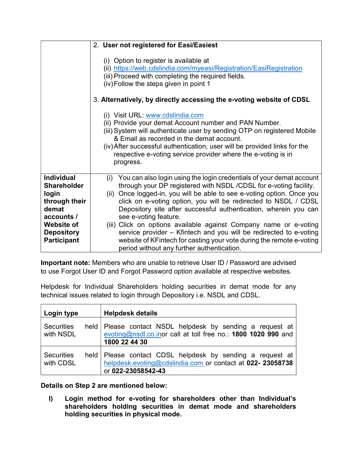|                                                                                                                                                          | 2. User not registered for Easi/Easiest                                                                                                                                                                                                                                                                                                                                                                                                                                                                                                                                                                                                                                |  |
|----------------------------------------------------------------------------------------------------------------------------------------------------------|------------------------------------------------------------------------------------------------------------------------------------------------------------------------------------------------------------------------------------------------------------------------------------------------------------------------------------------------------------------------------------------------------------------------------------------------------------------------------------------------------------------------------------------------------------------------------------------------------------------------------------------------------------------------|--|
|                                                                                                                                                          | (i) Option to register is available at<br>(ii) https://web.cdslindia.com/myeasi/Registration/EasiRegistration<br>(iii) Proceed with completing the required fields.<br>(iv) Follow the steps given in point 1<br>3. Alternatively, by directly accessing the e-voting website of CDSL<br>(i) Visit URL: www.cdslindia.com<br>(ii) Provide your demat Account number and PAN Number.<br>(iii) System will authenticate user by sending OTP on registered Mobile<br>& Email as recorded in the demat account.<br>(iv) After successful authentication, user will be provided links for the<br>respective e-voting service provider where the e-voting is in<br>progress. |  |
| <b>Individual</b><br><b>Shareholder</b><br>login<br>through their<br>demat<br>accounts /<br><b>Website of</b><br><b>Depository</b><br><b>Participant</b> | You can also login using the login credentials of your demat account<br>(i)<br>through your DP registered with NSDL /CDSL for e-voting facility.<br>(ii) Once logged-in, you will be able to see e-voting option. Once you<br>click on e-voting option, you will be redirected to NSDL / CDSL<br>Depository site after successful authentication, wherein you can<br>see e-voting feature.<br>(iii) Click on options available against Company name or e-voting<br>service provider – Kfintech and you will be redirected to e-voting<br>website of KFintech for casting your vote during the remote e-voting<br>period without any further authentication.            |  |

Important note: Members who are unable to retrieve User ID / Password are advised to use Forgot User ID and Forgot Password option available at respective websites.

Helpdesk for Individual Shareholders holding securities in demat mode for any technical issues related to login through Depository i.e. NSDL and CDSL.

| Login type                     | <b>Helpdesk details</b>                                                                                                                       |
|--------------------------------|-----------------------------------------------------------------------------------------------------------------------------------------------|
| <b>Securities</b><br>with NSDL | held Please contact NSDL helpdesk by sending a request at<br>evoting@nsdl.co.inor call at toll free no.: 1800 1020 990 and<br>1800 22 44 30   |
| <b>Securities</b><br>with CDSL | held Please contact CDSL helpdesk by sending a request at<br>helpdesk.evoting@cdslindia.com or contact at 022- 23058738<br>or 022-23058542-43 |

Details on Step 2 are mentioned below:

I) Login method for e-voting for shareholders other than Individual's shareholders holding securities in demat mode and shareholders holding securities in physical mode.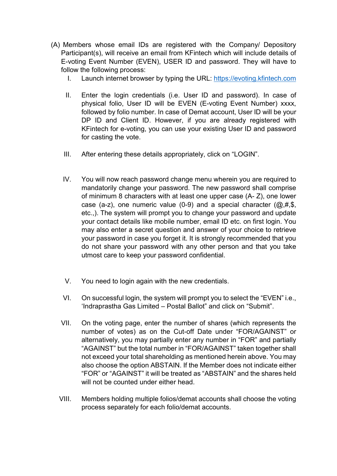- (A) Members whose email IDs are registered with the Company/ Depository Participant(s), will receive an email from KFintech which will include details of E-voting Event Number (EVEN), USER ID and password. They will have to follow the following process:
	- I. Launch internet browser by typing the URL: https://evoting.kfintech.com
	- II. Enter the login credentials (i.e. User ID and password). In case of physical folio, User ID will be EVEN (E-voting Event Number) xxxx, followed by folio number. In case of Demat account, User ID will be your DP ID and Client ID. However, if you are already registered with KFintech for e-voting, you can use your existing User ID and password for casting the vote.
	- III. After entering these details appropriately, click on "LOGIN".
	- IV. You will now reach password change menu wherein you are required to mandatorily change your password. The new password shall comprise of minimum 8 characters with at least one upper case (A- Z), one lower case (a-z), one numeric value (0-9) and a special character  $(@.#,$ \$, etc.,). The system will prompt you to change your password and update your contact details like mobile number, email ID etc. on first login. You may also enter a secret question and answer of your choice to retrieve your password in case you forget it. It is strongly recommended that you do not share your password with any other person and that you take utmost care to keep your password confidential.
	- V. You need to login again with the new credentials.
	- VI. On successful login, the system will prompt you to select the "EVEN" i.e., 'Indraprastha Gas Limited – Postal Ballot" and click on "Submit".
	- VII. On the voting page, enter the number of shares (which represents the number of votes) as on the Cut-off Date under "FOR/AGAINST" or alternatively, you may partially enter any number in "FOR" and partially "AGAINST" but the total number in "FOR/AGAINST" taken together shall not exceed your total shareholding as mentioned herein above. You may also choose the option ABSTAIN. If the Member does not indicate either "FOR" or "AGAINST" it will be treated as "ABSTAIN" and the shares held will not be counted under either head.
	- VIII. Members holding multiple folios/demat accounts shall choose the voting process separately for each folio/demat accounts.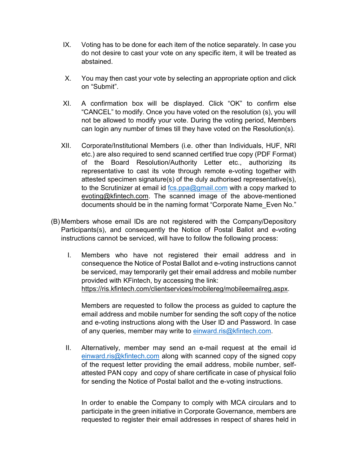- IX. Voting has to be done for each item of the notice separately. In case you do not desire to cast your vote on any specific item, it will be treated as abstained.
- X. You may then cast your vote by selecting an appropriate option and click on "Submit".
- XI. A confirmation box will be displayed. Click "OK" to confirm else "CANCEL" to modify. Once you have voted on the resolution (s), you will not be allowed to modify your vote. During the voting period, Members can login any number of times till they have voted on the Resolution(s).
- XII. Corporate/Institutional Members (i.e. other than Individuals, HUF, NRI etc.) are also required to send scanned certified true copy (PDF Format) of the Board Resolution/Authority Letter etc., authorizing its representative to cast its vote through remote e-voting together with attested specimen signature(s) of the duly authorised representative(s), to the Scrutinizer at email id  $fcs.ppa@gmail.com$  with a copy marked to evoting@kfintech.com. The scanned image of the above-mentioned documents should be in the naming format "Corporate Name\_Even No."
- (B) Members whose email IDs are not registered with the Company/Depository Participants(s), and consequently the Notice of Postal Ballot and e-voting instructions cannot be serviced, will have to follow the following process:
	- I. Members who have not registered their email address and in consequence the Notice of Postal Ballot and e-voting instructions cannot be serviced, may temporarily get their email address and mobile number provided with KFintech, by accessing the link: https://ris.kfintech.com/clientservices/mobilereg/mobileemailreg.aspx.

Members are requested to follow the process as guided to capture the email address and mobile number for sending the soft copy of the notice and e-voting instructions along with the User ID and Password. In case of any queries, member may write to einward.ris@kfintech.com.

II. Alternatively, member may send an e-mail request at the email id einward.ris@kfintech.com along with scanned copy of the signed copy of the request letter providing the email address, mobile number, selfattested PAN copy and copy of share certificate in case of physical folio for sending the Notice of Postal ballot and the e-voting instructions.

In order to enable the Company to comply with MCA circulars and to participate in the green initiative in Corporate Governance, members are requested to register their email addresses in respect of shares held in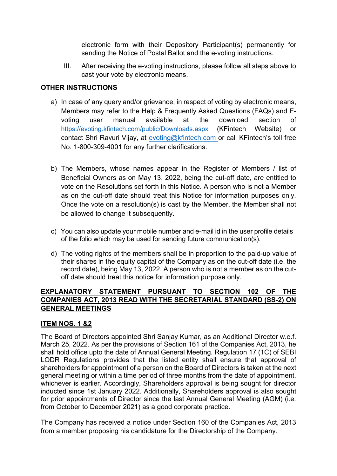electronic form with their Depository Participant(s) permanently for sending the Notice of Postal Ballot and the e-voting instructions.

III. After receiving the e-voting instructions, please follow all steps above to cast your vote by electronic means.

### OTHER INSTRUCTIONS

- a) In case of any query and/or grievance, in respect of voting by electronic means, Members may refer to the Help & Frequently Asked Questions (FAQs) and Evoting user manual available at the download section of https://evoting.kfintech.com/public/Downloads.aspx (KFintech Website) or contact Shri Ravuri Vijay, at evoting@kfintech.com or call KFintech's toll free No. 1-800-309-4001 for any further clarifications.
- b) The Members, whose names appear in the Register of Members / list of Beneficial Owners as on May 13, 2022, being the cut-off date, are entitled to vote on the Resolutions set forth in this Notice. A person who is not a Member as on the cut-off date should treat this Notice for information purposes only. Once the vote on a resolution(s) is cast by the Member, the Member shall not be allowed to change it subsequently.
- c) You can also update your mobile number and e-mail id in the user profile details of the folio which may be used for sending future communication(s).
- d) The voting rights of the members shall be in proportion to the paid-up value of their shares in the equity capital of the Company as on the cut-off date (i.e. the record date), being May 13, 2022. A person who is not a member as on the cutoff date should treat this notice for information purpose only.

### EXPLANATORY STATEMENT PURSUANT TO SECTION 102 OF THE COMPANIES ACT, 2013 READ WITH THE SECRETARIAL STANDARD (SS-2) ON GENERAL MEETINGS

### ITEM NOS. 1 &2

The Board of Directors appointed Shri Sanjay Kumar, as an Additional Director w.e.f. March 25, 2022. As per the provisions of Section 161 of the Companies Act, 2013, he shall hold office upto the date of Annual General Meeting. Regulation 17 (1C) of SEBI LODR Regulations provides that the listed entity shall ensure that approval of shareholders for appointment of a person on the Board of Directors is taken at the next general meeting or within a time period of three months from the date of appointment, whichever is earlier. Accordingly, Shareholders approval is being sought for director inducted since 1st January 2022. Additionally, Shareholders approval is also sought for prior appointments of Director since the last Annual General Meeting (AGM) (i.e. from October to December 2021) as a good corporate practice.

The Company has received a notice under Section 160 of the Companies Act, 2013 from a member proposing his candidature for the Directorship of the Company.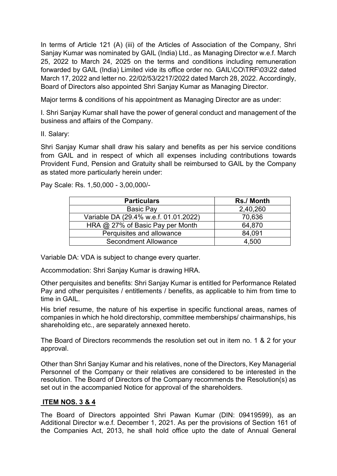In terms of Article 121 (A) (iii) of the Articles of Association of the Company, Shri Sanjay Kumar was nominated by GAIL (India) Ltd., as Managing Director w.e.f. March 25, 2022 to March 24, 2025 on the terms and conditions including remuneration forwarded by GAIL (India) Limited vide its office order no. GAIL\CO\TRF\03\22 dated March 17, 2022 and letter no. 22/02/53/2217/2022 dated March 28, 2022. Accordingly, Board of Directors also appointed Shri Sanjay Kumar as Managing Director.

Major terms & conditions of his appointment as Managing Director are as under:

I. Shri Sanjay Kumar shall have the power of general conduct and management of the business and affairs of the Company.

II. Salary:

Shri Sanjay Kumar shall draw his salary and benefits as per his service conditions from GAIL and in respect of which all expenses including contributions towards Provident Fund, Pension and Gratuity shall be reimbursed to GAIL by the Company as stated more particularly herein under:

Pay Scale: Rs. 1,50,000 - 3,00,000/-

| <b>Particulars</b>                    | <b>Rs./ Month</b> |
|---------------------------------------|-------------------|
| <b>Basic Pay</b>                      | 2,40,260          |
| Variable DA (29.4% w.e.f. 01.01.2022) | 70,636            |
| HRA $@$ 27% of Basic Pay per Month    | 64,870            |
| Perquisites and allowance             | 84,091            |
| Secondment Allowance                  | 4.500             |

Variable DA: VDA is subject to change every quarter.

Accommodation: Shri Sanjay Kumar is drawing HRA.

Other perquisites and benefits: Shri Sanjay Kumar is entitled for Performance Related Pay and other perquisites / entitlements / benefits, as applicable to him from time to time in GAIL.

His brief resume, the nature of his expertise in specific functional areas, names of companies in which he hold directorship, committee memberships/ chairmanships, his shareholding etc., are separately annexed hereto.

The Board of Directors recommends the resolution set out in item no. 1 & 2 for your approval.

Other than Shri Sanjay Kumar and his relatives, none of the Directors, Key Managerial Personnel of the Company or their relatives are considered to be interested in the resolution. The Board of Directors of the Company recommends the Resolution(s) as set out in the accompanied Notice for approval of the shareholders.

### ITEM NOS. 3 & 4

The Board of Directors appointed Shri Pawan Kumar (DIN: 09419599), as an Additional Director w.e.f. December 1, 2021. As per the provisions of Section 161 of the Companies Act, 2013, he shall hold office upto the date of Annual General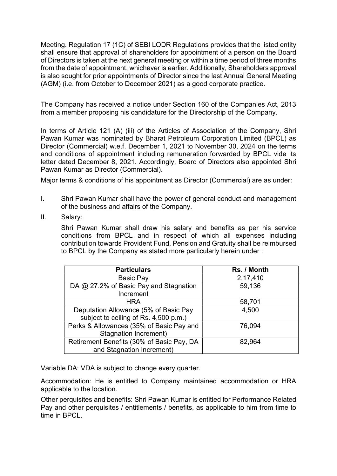Meeting. Regulation 17 (1C) of SEBI LODR Regulations provides that the listed entity shall ensure that approval of shareholders for appointment of a person on the Board of Directors is taken at the next general meeting or within a time period of three months from the date of appointment, whichever is earlier. Additionally, Shareholders approval is also sought for prior appointments of Director since the last Annual General Meeting (AGM) (i.e. from October to December 2021) as a good corporate practice.

The Company has received a notice under Section 160 of the Companies Act, 2013 from a member proposing his candidature for the Directorship of the Company.

In terms of Article 121 (A) (iii) of the Articles of Association of the Company, Shri Pawan Kumar was nominated by Bharat Petroleum Corporation Limited (BPCL) as Director (Commercial) w.e.f. December 1, 2021 to November 30, 2024 on the terms and conditions of appointment including remuneration forwarded by BPCL vide its letter dated December 8, 2021. Accordingly, Board of Directors also appointed Shri Pawan Kumar as Director (Commercial).

Major terms & conditions of his appointment as Director (Commercial) are as under:

- I. Shri Pawan Kumar shall have the power of general conduct and management of the business and affairs of the Company.
- II. Salary:

Shri Pawan Kumar shall draw his salary and benefits as per his service conditions from BPCL and in respect of which all expenses including contribution towards Provident Fund, Pension and Gratuity shall be reimbursed to BPCL by the Company as stated more particularly herein under :

| <b>Particulars</b>                        | Rs. / Month |
|-------------------------------------------|-------------|
| <b>Basic Pay</b>                          | 2,17,410    |
| DA @ 27.2% of Basic Pay and Stagnation    | 59,136      |
| Increment                                 |             |
| <b>HRA</b>                                | 58,701      |
| Deputation Allowance (5% of Basic Pay     | 4,500       |
| subject to ceiling of Rs. 4,500 p.m.)     |             |
| Perks & Allowances (35% of Basic Pay and  | 76,094      |
| <b>Stagnation Increment)</b>              |             |
| Retirement Benefits (30% of Basic Pay, DA | 82,964      |
| and Stagnation Increment)                 |             |

Variable DA: VDA is subject to change every quarter.

Accommodation: He is entitled to Company maintained accommodation or HRA applicable to the location.

Other perquisites and benefits: Shri Pawan Kumar is entitled for Performance Related Pay and other perquisites / entitlements / benefits, as applicable to him from time to time in **BPCL**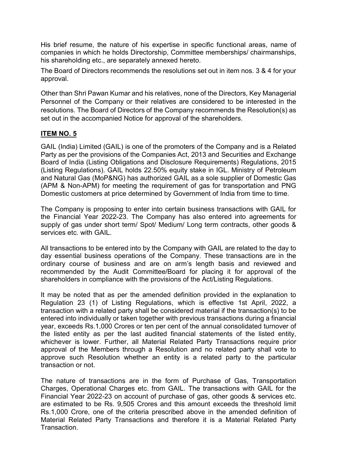His brief resume, the nature of his expertise in specific functional areas, name of companies in which he holds Directorship, Committee memberships/ chairmanships, his shareholding etc., are separately annexed hereto.

The Board of Directors recommends the resolutions set out in item nos. 3 & 4 for your approval.

Other than Shri Pawan Kumar and his relatives, none of the Directors, Key Managerial Personnel of the Company or their relatives are considered to be interested in the resolutions. The Board of Directors of the Company recommends the Resolution(s) as set out in the accompanied Notice for approval of the shareholders.

### ITEM NO. 5

GAIL (India) Limited (GAIL) is one of the promoters of the Company and is a Related Party as per the provisions of the Companies Act, 2013 and Securities and Exchange Board of India (Listing Obligations and Disclosure Requirements) Regulations, 2015 (Listing Regulations). GAIL holds 22.50% equity stake in IGL. Ministry of Petroleum and Natural Gas (MoP&NG) has authorized GAIL as a sole supplier of Domestic Gas (APM & Non-APM) for meeting the requirement of gas for transportation and PNG Domestic customers at price determined by Government of India from time to time.

The Company is proposing to enter into certain business transactions with GAIL for the Financial Year 2022-23. The Company has also entered into agreements for supply of gas under short term/ Spot/ Medium/ Long term contracts, other goods & services etc. with GAIL.

All transactions to be entered into by the Company with GAIL are related to the day to day essential business operations of the Company. These transactions are in the ordinary course of business and are on arm's length basis and reviewed and recommended by the Audit Committee/Board for placing it for approval of the shareholders in compliance with the provisions of the Act/Listing Regulations.

It may be noted that as per the amended definition provided in the explanation to Regulation 23 (1) of Listing Regulations, which is effective 1st April, 2022, a transaction with a related party shall be considered material if the transaction(s) to be entered into individually or taken together with previous transactions during a financial year, exceeds Rs.1,000 Crores or ten per cent of the annual consolidated turnover of the listed entity as per the last audited financial statements of the listed entity, whichever is lower. Further, all Material Related Party Transactions require prior approval of the Members through a Resolution and no related party shall vote to approve such Resolution whether an entity is a related party to the particular transaction or not.

The nature of transactions are in the form of Purchase of Gas, Transportation Charges, Operational Charges etc. from GAIL. The transactions with GAIL for the Financial Year 2022-23 on account of purchase of gas, other goods & services etc. are estimated to be Rs. 9,505 Crores and this amount exceeds the threshold limit Rs.1,000 Crore, one of the criteria prescribed above in the amended definition of Material Related Party Transactions and therefore it is a Material Related Party **Transaction**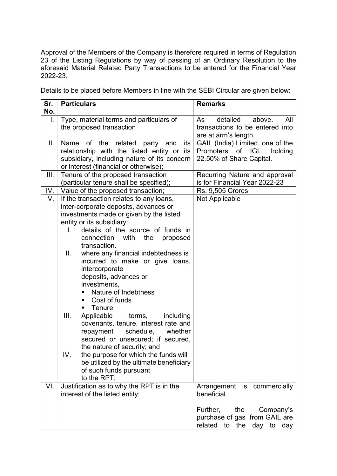Approval of the Members of the Company is therefore required in terms of Regulation 23 of the Listing Regulations by way of passing of an Ordinary Resolution to the aforesaid Material Related Party Transactions to be entered for the Financial Year 2022-23.

Details to be placed before Members in line with the SEBI Circular are given below:

| Sr.  | <b>Particulars</b>                                                   | <b>Remarks</b>                   |
|------|----------------------------------------------------------------------|----------------------------------|
| No.  |                                                                      |                                  |
| I.   | Type, material terms and particulars of                              | detailed<br>above.<br>All<br>As  |
|      | the proposed transaction                                             | transactions to be entered into  |
|      |                                                                      | are at arm's length.             |
| II.  | Name of the related party<br>and<br>its                              | GAIL (India) Limited, one of the |
|      | relationship with the listed entity or its                           | Promoters of IGL, holding        |
|      | subsidiary, including nature of its concern                          | 22.50% of Share Capital.         |
|      | or interest (financial or otherwise);                                |                                  |
| III. | Tenure of the proposed transaction                                   | Recurring Nature and approval    |
|      | (particular tenure shall be specified);                              | is for Financial Year 2022-23    |
| IV.  | Value of the proposed transaction;                                   | <b>Rs. 9,505 Crores</b>          |
| V.   | If the transaction relates to any loans,                             | Not Applicable                   |
|      | inter-corporate deposits, advances or                                |                                  |
|      | investments made or given by the listed                              |                                  |
|      | entity or its subsidiary:<br>details of the source of funds in<br>L. |                                  |
|      | connection                                                           |                                  |
|      | with<br>the<br>proposed<br>transaction.                              |                                  |
|      | where any financial indebtedness is<br>Ш.                            |                                  |
|      | incurred to make or give loans,                                      |                                  |
|      | intercorporate                                                       |                                  |
|      | deposits, advances or                                                |                                  |
|      | investments,                                                         |                                  |
|      | Nature of Indebtness                                                 |                                  |
|      | Cost of funds<br>٠                                                   |                                  |
|      | Tenure<br>٠                                                          |                                  |
|      | III.<br>Applicable<br>terms,<br>including                            |                                  |
|      | covenants, tenure, interest rate and                                 |                                  |
|      | schedule,<br>whether<br>repayment                                    |                                  |
|      | secured or unsecured; if secured,                                    |                                  |
|      | the nature of security; and                                          |                                  |
|      | the purpose for which the funds will<br>IV.                          |                                  |
|      | be utilized by the ultimate beneficiary                              |                                  |
|      | of such funds pursuant                                               |                                  |
|      | to the RPT;                                                          |                                  |
| VI.  | Justification as to why the RPT is in the                            | Arrangement is commercially      |
|      | interest of the listed entity;                                       | beneficial.                      |
|      |                                                                      |                                  |
|      |                                                                      | Further,<br>the<br>Company's     |
|      |                                                                      | purchase of gas from GAIL are    |
|      |                                                                      | related to the<br>day to day     |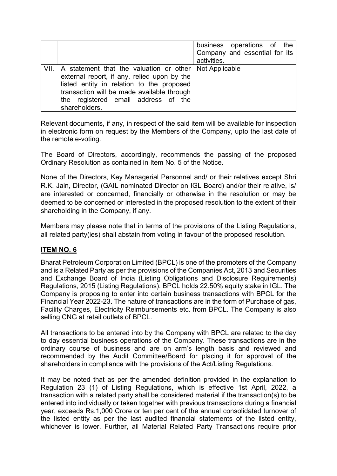|                                                                                                                                                                                                                                                                   | business operations of the<br>Company and essential for its<br>activities. |
|-------------------------------------------------------------------------------------------------------------------------------------------------------------------------------------------------------------------------------------------------------------------|----------------------------------------------------------------------------|
| VII.   A statement that the valuation or other   Not Applicable<br>external report, if any, relied upon by the<br>listed entity in relation to the proposed<br>transaction will be made available through<br>the registered email address of the<br>shareholders. |                                                                            |

Relevant documents, if any, in respect of the said item will be available for inspection in electronic form on request by the Members of the Company, upto the last date of the remote e-voting.

The Board of Directors, accordingly, recommends the passing of the proposed Ordinary Resolution as contained in Item No. 5 of the Notice.

None of the Directors, Key Managerial Personnel and/ or their relatives except Shri R.K. Jain, Director, (GAIL nominated Director on IGL Board) and/or their relative, is/ are interested or concerned, financially or otherwise in the resolution or may be deemed to be concerned or interested in the proposed resolution to the extent of their shareholding in the Company, if any.

Members may please note that in terms of the provisions of the Listing Regulations, all related party(ies) shall abstain from voting in favour of the proposed resolution.

### ITEM NO. 6

Bharat Petroleum Corporation Limited (BPCL) is one of the promoters of the Company and is a Related Party as per the provisions of the Companies Act, 2013 and Securities and Exchange Board of India (Listing Obligations and Disclosure Requirements) Regulations, 2015 (Listing Regulations). BPCL holds 22.50% equity stake in IGL. The Company is proposing to enter into certain business transactions with BPCL for the Financial Year 2022-23. The nature of transactions are in the form of Purchase of gas, Facility Charges, Electricity Reimbursements etc. from BPCL. The Company is also selling CNG at retail outlets of BPCL.

All transactions to be entered into by the Company with BPCL are related to the day to day essential business operations of the Company. These transactions are in the ordinary course of business and are on arm's length basis and reviewed and recommended by the Audit Committee/Board for placing it for approval of the shareholders in compliance with the provisions of the Act/Listing Regulations.

It may be noted that as per the amended definition provided in the explanation to Regulation 23 (1) of Listing Regulations, which is effective 1st April, 2022, a transaction with a related party shall be considered material if the transaction(s) to be entered into individually or taken together with previous transactions during a financial year, exceeds Rs.1,000 Crore or ten per cent of the annual consolidated turnover of the listed entity as per the last audited financial statements of the listed entity, whichever is lower. Further, all Material Related Party Transactions require prior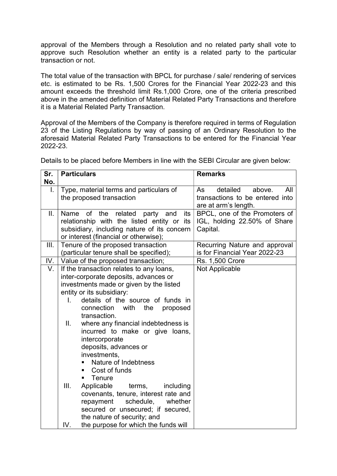approval of the Members through a Resolution and no related party shall vote to approve such Resolution whether an entity is a related party to the particular transaction or not.

The total value of the transaction with BPCL for purchase / sale/ rendering of services etc. is estimated to be Rs. 1,500 Crores for the Financial Year 2022-23 and this amount exceeds the threshold limit Rs.1,000 Crore, one of the criteria prescribed above in the amended definition of Material Related Party Transactions and therefore it is a Material Related Party Transaction.

Approval of the Members of the Company is therefore required in terms of Regulation 23 of the Listing Regulations by way of passing of an Ordinary Resolution to the aforesaid Material Related Party Transactions to be entered for the Financial Year 2022-23.

| Sr.  | <b>Particulars</b>                          | <b>Remarks</b>                  |
|------|---------------------------------------------|---------------------------------|
| No.  |                                             |                                 |
| I.   | Type, material terms and particulars of     | detailed<br>above.<br>All<br>As |
|      | the proposed transaction                    | transactions to be entered into |
|      |                                             | are at arm's length.            |
| II.  | Name of the related party and<br>its        | BPCL, one of the Promoters of   |
|      | relationship with the listed entity or its  | IGL, holding 22.50% of Share    |
|      | subsidiary, including nature of its concern | Capital.                        |
|      | or interest (financial or otherwise);       |                                 |
| III. | Tenure of the proposed transaction          | Recurring Nature and approval   |
|      | (particular tenure shall be specified);     | is for Financial Year 2022-23   |
|      | IV.   Value of the proposed transaction;    | <b>Rs. 1,500 Crore</b>          |
| V.   | If the transaction relates to any loans,    | Not Applicable                  |
|      | inter-corporate deposits, advances or       |                                 |
|      | investments made or given by the listed     |                                 |
|      | entity or its subsidiary:                   |                                 |
|      | L.<br>details of the source of funds in     |                                 |
|      | with<br>connection<br>the<br>proposed       |                                 |
|      | transaction.                                |                                 |
|      | where any financial indebtedness is<br>Ш.   |                                 |
|      | incurred to make or give loans,             |                                 |
|      | intercorporate                              |                                 |
|      | deposits, advances or<br>investments,       |                                 |
|      | Nature of Indebtness<br>٠                   |                                 |
|      | Cost of funds<br>п                          |                                 |
|      | Tenure<br>٠                                 |                                 |
|      | III.<br>Applicable<br>terms,<br>including   |                                 |
|      | covenants, tenure, interest rate and        |                                 |
|      | schedule,<br>repayment<br>whether           |                                 |
|      | secured or unsecured; if secured,           |                                 |
|      | the nature of security; and                 |                                 |
|      | IV.<br>the purpose for which the funds will |                                 |

Details to be placed before Members in line with the SEBI Circular are given below: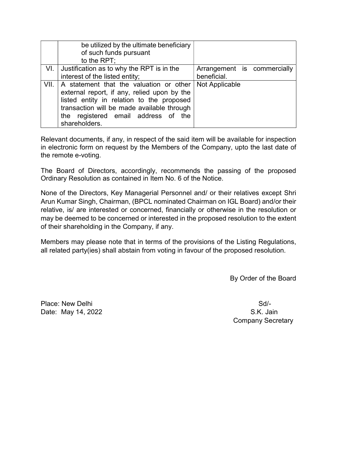|      | be utilized by the ultimate beneficiary     |                             |
|------|---------------------------------------------|-----------------------------|
|      | of such funds pursuant                      |                             |
|      | to the RPT;                                 |                             |
| VI.  | Justification as to why the RPT is in the   | Arrangement is commercially |
|      | interest of the listed entity;              | beneficial.                 |
| VII. | A statement that the valuation or other     | Not Applicable              |
|      | external report, if any, relied upon by the |                             |
|      | listed entity in relation to the proposed   |                             |
|      | transaction will be made available through  |                             |
|      | the registered email address of the         |                             |
|      | shareholders.                               |                             |

Relevant documents, if any, in respect of the said item will be available for inspection in electronic form on request by the Members of the Company, upto the last date of the remote e-voting.

The Board of Directors, accordingly, recommends the passing of the proposed Ordinary Resolution as contained in Item No. 6 of the Notice.

None of the Directors, Key Managerial Personnel and/ or their relatives except Shri Arun Kumar Singh, Chairman, (BPCL nominated Chairman on IGL Board) and/or their relative, is/ are interested or concerned, financially or otherwise in the resolution or may be deemed to be concerned or interested in the proposed resolution to the extent of their shareholding in the Company, if any.

Members may please note that in terms of the provisions of the Listing Regulations, all related party(ies) shall abstain from voting in favour of the proposed resolution.

By Order of the Board

Place: New Delhi Sd/-Date: May 14, 2022 S.K. Jain

Company Secretary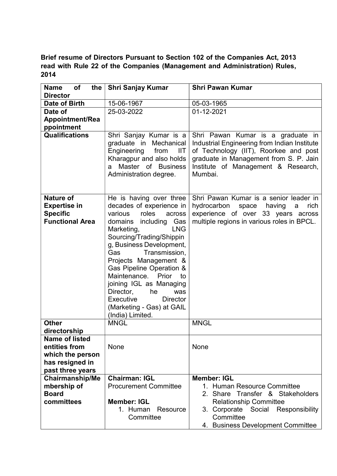# Brief resume of Directors Pursuant to Section 102 of the Companies Act, 2013 read with Rule 22 of the Companies (Management and Administration) Rules, 2014

| of<br><b>Name</b><br>the                                                      | <b>Shri Sanjay Kumar</b>                                                                                                                                                                                                                                                                                                                                 | <b>Shri Pawan Kumar</b>                                                                                                                                                                                                |
|-------------------------------------------------------------------------------|----------------------------------------------------------------------------------------------------------------------------------------------------------------------------------------------------------------------------------------------------------------------------------------------------------------------------------------------------------|------------------------------------------------------------------------------------------------------------------------------------------------------------------------------------------------------------------------|
| <b>Director</b>                                                               |                                                                                                                                                                                                                                                                                                                                                          |                                                                                                                                                                                                                        |
| Date of Birth                                                                 | 15-06-1967                                                                                                                                                                                                                                                                                                                                               | 05-03-1965                                                                                                                                                                                                             |
| Date of                                                                       | 25-03-2022                                                                                                                                                                                                                                                                                                                                               | 01-12-2021                                                                                                                                                                                                             |
| <b>Appointment/Rea</b>                                                        |                                                                                                                                                                                                                                                                                                                                                          |                                                                                                                                                                                                                        |
| ppointment                                                                    |                                                                                                                                                                                                                                                                                                                                                          |                                                                                                                                                                                                                        |
| <b>Qualifications</b>                                                         | Shri Sanjay Kumar is a<br>graduate in Mechanical<br>Engineering<br>from<br>IIT<br>Kharagpur and also holds<br>Master of Business<br>a<br>Administration degree.                                                                                                                                                                                          | Shri Pawan Kumar is a graduate in<br>Industrial Engineering from Indian Institute<br>of Technology (IIT), Roorkee and post<br>graduate in Management from S. P. Jain<br>Institute of Management & Research,<br>Mumbai. |
| <b>Nature of</b>                                                              | He is having over three                                                                                                                                                                                                                                                                                                                                  | Shri Pawan Kumar is a senior leader in                                                                                                                                                                                 |
| <b>Expertise in</b>                                                           | decades of experience in                                                                                                                                                                                                                                                                                                                                 | hydrocarbon<br>having<br>rich<br>space<br>a                                                                                                                                                                            |
| <b>Specific</b><br><b>Functional Area</b>                                     | roles<br>various<br>across                                                                                                                                                                                                                                                                                                                               | experience of over 33 years across                                                                                                                                                                                     |
|                                                                               | domains including Gas<br><b>LNG</b><br>Marketing,<br>Sourcing/Trading/Shippin<br>g, Business Development,<br>Transmission,<br>Gas<br>Projects Management &<br>Gas Pipeline Operation &<br>Maintenance. Prior<br>to<br>joining IGL as Managing<br>Director,<br>he<br>was<br>Executive<br><b>Director</b><br>(Marketing - Gas) at GAIL<br>(India) Limited. | multiple regions in various roles in BPCL.                                                                                                                                                                             |
| <b>Other</b><br>directorship                                                  | <b>MNGL</b>                                                                                                                                                                                                                                                                                                                                              | <b>MNGL</b>                                                                                                                                                                                                            |
| <b>Name of listed</b><br>entities from<br>which the person<br>has resigned in | None                                                                                                                                                                                                                                                                                                                                                     | None                                                                                                                                                                                                                   |
| past three years                                                              |                                                                                                                                                                                                                                                                                                                                                          |                                                                                                                                                                                                                        |
| <b>Chairmanship/Me</b>                                                        | <b>Chairman: IGL</b>                                                                                                                                                                                                                                                                                                                                     | <b>Member: IGL</b>                                                                                                                                                                                                     |
| mbership of                                                                   | <b>Procurement Committee</b>                                                                                                                                                                                                                                                                                                                             | 1. Human Resource Committee                                                                                                                                                                                            |
| <b>Board</b>                                                                  |                                                                                                                                                                                                                                                                                                                                                          | 2. Share Transfer & Stakeholders                                                                                                                                                                                       |
| committees                                                                    | <b>Member: IGL</b>                                                                                                                                                                                                                                                                                                                                       | <b>Relationship Committee</b>                                                                                                                                                                                          |
|                                                                               | 1. Human<br>Resource<br>Committee                                                                                                                                                                                                                                                                                                                        | 3. Corporate Social<br>Responsibility<br>Committee                                                                                                                                                                     |
|                                                                               |                                                                                                                                                                                                                                                                                                                                                          | 4. Business Development Committee                                                                                                                                                                                      |